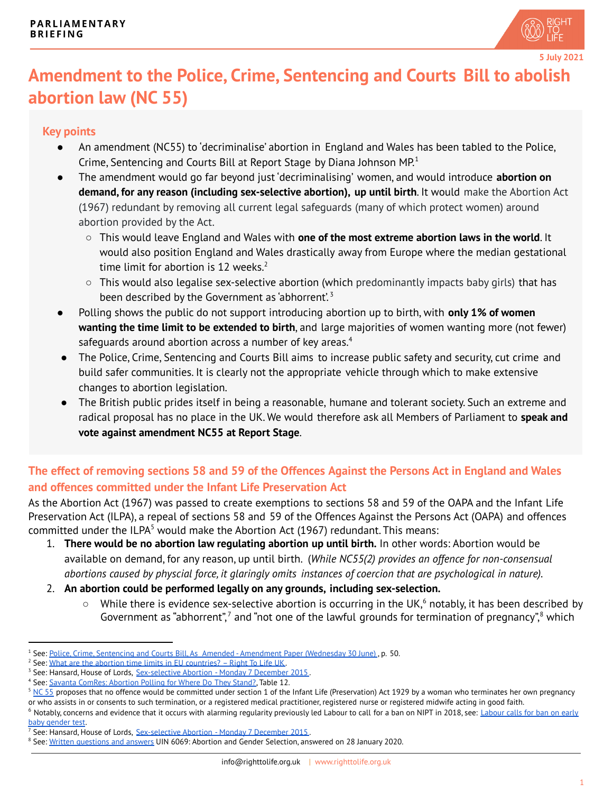

**5 July 2021**

## **Amendment to the Police, Crime, Sentencing and Courts Bill to abolish abortion law (NC 55)**

## **Key points**

- An amendment (NC55) to 'decriminalise' abortion in England and Wales has been tabled to the Police, Crime, Sentencing and Courts Bill at Report Stage by Diana Johnson MP. 1
- The amendment would go far beyond just 'decriminalising' women, and would introduce **abortion on demand, for any reason (including sex-selective abortion), up until birth**. It would make the Abortion Act (1967) redundant by removing all current legal safeguards (many of which protect women) around abortion provided by the Act.
	- This would leave England and Wales with **one of the most extreme abortion laws in the world**. It would also position England and Wales drastically away from Europe where the median gestational time limit for abortion is 12 weeks. 2
	- $\circ$  This would also legalise sex-selective abortion (which predominantly impacts baby girls) that has been described by the Government as 'abhorrent'.<sup>3</sup>
- Polling shows the public do not support introducing abortion up to birth, with **only 1% of women wanting the time limit to be extended to birth**, and large majorities of women wanting more (not fewer) safeguards around abortion across a number of key areas.<sup>4</sup>
- The Police, Crime, Sentencing and Courts Bill aims to increase public safety and security, cut crime and build safer communities. It is clearly not the appropriate vehicle through which to make extensive changes to abortion legislation.
- The British public prides itself in being a reasonable, humane and tolerant society. Such an extreme and radical proposal has no place in the UK. We would therefore ask all Members of Parliament to **speak and vote against amendment NC55 at Report Stage**.

## The effect of removing sections 58 and 59 of the Offences Against the Persons Act in England and Wales **and offences committed under the Infant Life Preservation Act**

As the Abortion Act (1967) was passed to create exemptions to sections 58 and 59 of the OAPA and the Infant Life Preservation Act (ILPA), a repeal of sections 58 and 59 of the Offences Against the Persons Act (OAPA) and offences committed under the ILPA<sup>5</sup> would make the Abortion Act (1967) redundant. This means:

- 1. **There would be no abortion law regulating abortion up until birth.** In other words: Abortion would be available on demand, for any reason, up until birth. (*While NC55(2) provides an offence for non-consensual abortions caused by physcial force, it glaringly omits instances of coercion that are psychological in nature).*
- 2. **An abortion could be performed legally on any grounds, including sex-selection.**
	- $\circ$  While there is evidence sex-selective abortion is occurring in the UK, <sup>6</sup> notably, it has been described by Government as "abhorrent",<sup>7</sup> and "not one of the lawful grounds for termination of pregnancy",<sup>8</sup> which

<sup>&</sup>lt;sup>1</sup> See: Police, Crime, Sentencing and Courts Bill, As Amended - [Amendment](https://publications.parliament.uk/pa/bills/cbill/58-02/0133/amend/police_rm_rep_0630.pdf) Paper (Wednesday 30 June), p. 50.

<sup>&</sup>lt;sup>2</sup> See: What are the abortion time limits in EU [countries?](https://righttolife.org.uk/what-are-the-abortion-time-limits-in-eu-countries) – Right To Life UK.

<sup>&</sup>lt;sup>3</sup> See: Hansard, House of Lords, [Sex-selective](https://hansard.parliament.uk/Lords/2015-12-07/debates/15120712000427/details#contribution-15120712000004) Abortion - Monday 7 December 2015.

<sup>&</sup>lt;sup>4</sup> See: Savanta ComRes: [Abortion](http://comresglobal.com/wp-content/uploads/2017/05/Where-Do-They-Stand-Abortion-Survey-Data-Tables.pdf) Polling for Where Do They Stand?, Table 12.

 $5$  [NC](https://publications.parliament.uk/pa/bills/cbill/58-02/0133/amend/police_rm_rep_0630.pdf) 55 proposes that no offence would be committed under section 1 of the Infant Life (Preservation) Act 1929 by a woman who terminates her own pregnancy or who assists in or consents to such termination, or a registered medical practitioner, registered nurse or registered midwife acting in good faith.

 $^6$  Notably, concerns and evidence that it occurs with alarming regularity previously led [Labour](https://news.sky.com/story/labour-calls-for-ban-on-early-baby-gender-test-11500373) to call for a ban on NIPT in 2018, see: Labour calls for ban on early baby [gender](https://news.sky.com/story/labour-calls-for-ban-on-early-baby-gender-test-11500373) test.

<sup>&</sup>lt;sup>7</sup> See: Hansard, House of Lords, [Sex-selective](https://hansard.parliament.uk/Lords/2015-12-07/debates/15120712000427/details#contribution-15120712000004) Abortion - Monday 7 December 2015.

<sup>&</sup>lt;sup>8</sup> See: <u>Written [questions](https://questions-statements.parliament.uk/written-questions/detail/2020-01-21/6069) and answers</u> UIN 6069: Abortion and Gender Selection, answered on 28 January 2020.